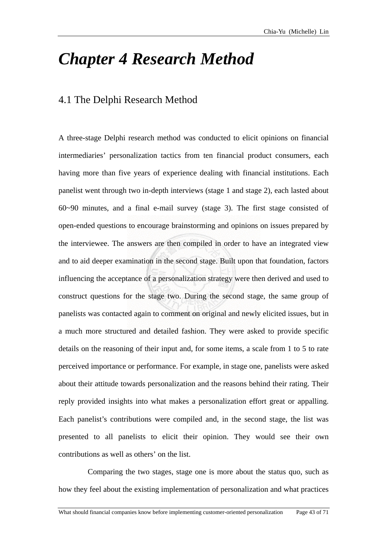## *Chapter 4 Research Method*

## 4.1 The Delphi Research Method

A three-stage Delphi research method was conducted to elicit opinions on financial intermediaries' personalization tactics from ten financial product consumers, each having more than five years of experience dealing with financial institutions. Each panelist went through two in-depth interviews (stage 1 and stage 2), each lasted about 60~90 minutes, and a final e-mail survey (stage 3). The first stage consisted of open-ended questions to encourage brainstorming and opinions on issues prepared by the interviewee. The answers are then compiled in order to have an integrated view and to aid deeper examination in the second stage. Built upon that foundation, factors influencing the acceptance of a personalization strategy were then derived and used to construct questions for the stage two. During the second stage, the same group of panelists was contacted again to comment on original and newly elicited issues, but in a much more structured and detailed fashion. They were asked to provide specific details on the reasoning of their input and, for some items, a scale from 1 to 5 to rate perceived importance or performance. For example, in stage one, panelists were asked about their attitude towards personalization and the reasons behind their rating. Their reply provided insights into what makes a personalization effort great or appalling. Each panelist's contributions were compiled and, in the second stage, the list was presented to all panelists to elicit their opinion. They would see their own contributions as well as others' on the list.

Comparing the two stages, stage one is more about the status quo, such as how they feel about the existing implementation of personalization and what practices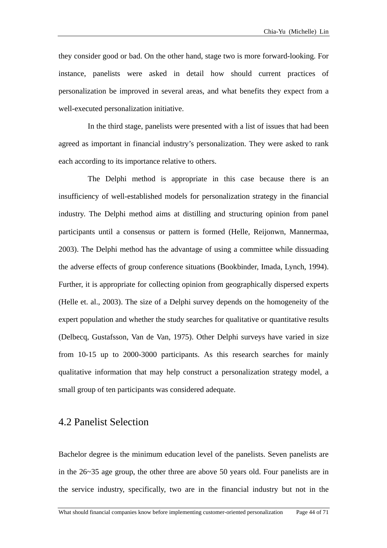they consider good or bad. On the other hand, stage two is more forward-looking. For instance, panelists were asked in detail how should current practices of personalization be improved in several areas, and what benefits they expect from a well-executed personalization initiative.

In the third stage, panelists were presented with a list of issues that had been agreed as important in financial industry's personalization. They were asked to rank each according to its importance relative to others.

The Delphi method is appropriate in this case because there is an insufficiency of well-established models for personalization strategy in the financial industry. The Delphi method aims at distilling and structuring opinion from panel participants until a consensus or pattern is formed (Helle, Reijonwn, Mannermaa, 2003). The Delphi method has the advantage of using a committee while dissuading the adverse effects of group conference situations (Bookbinder, Imada, Lynch, 1994). Further, it is appropriate for collecting opinion from geographically dispersed experts (Helle et. al., 2003). The size of a Delphi survey depends on the homogeneity of the expert population and whether the study searches for qualitative or quantitative results (Delbecq, Gustafsson, Van de Van, 1975). Other Delphi surveys have varied in size from 10-15 up to 2000-3000 participants. As this research searches for mainly qualitative information that may help construct a personalization strategy model, a small group of ten participants was considered adequate.

## 4.2 Panelist Selection

Bachelor degree is the minimum education level of the panelists. Seven panelists are in the 26 ~35 age group, the other three are above 50 years old. Four panelists are in the service industry, specifically, two are in the financial industry but not in the